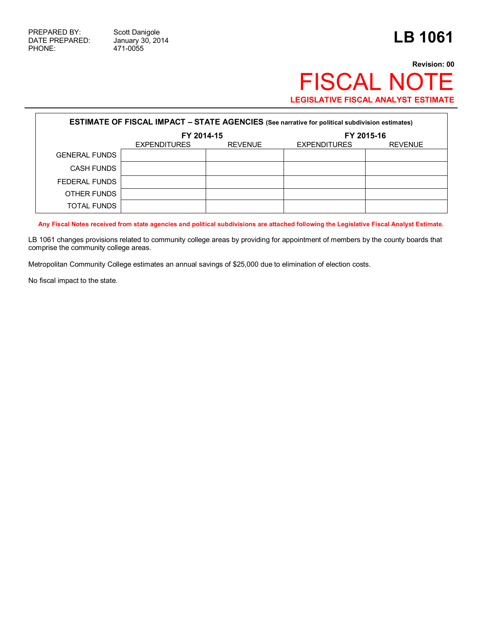471-0055

## **Revision: 00** FISCAL NOTE **LEGISLATIVE FISCAL ANALYST ESTIMATE**

| <b>ESTIMATE OF FISCAL IMPACT - STATE AGENCIES</b> (See narrative for political subdivision estimates) |                     |                |                     |                |  |  |  |
|-------------------------------------------------------------------------------------------------------|---------------------|----------------|---------------------|----------------|--|--|--|
|                                                                                                       | FY 2014-15          |                |                     | FY 2015-16     |  |  |  |
|                                                                                                       | <b>EXPENDITURES</b> | <b>REVENUE</b> | <b>EXPENDITURES</b> | <b>REVENUE</b> |  |  |  |
| <b>GENERAL FUNDS</b>                                                                                  |                     |                |                     |                |  |  |  |
| <b>CASH FUNDS</b>                                                                                     |                     |                |                     |                |  |  |  |
| FEDERAL FUNDS                                                                                         |                     |                |                     |                |  |  |  |
| OTHER FUNDS                                                                                           |                     |                |                     |                |  |  |  |
| <b>TOTAL FUNDS</b>                                                                                    |                     |                |                     |                |  |  |  |

**Any Fiscal Notes received from state agencies and political subdivisions are attached following the Legislative Fiscal Analyst Estimate.**

LB 1061 changes provisions related to community college areas by providing for appointment of members by the county boards that comprise the community college areas.

Metropolitan Community College estimates an annual savings of \$25,000 due to elimination of election costs.

No fiscal impact to the state.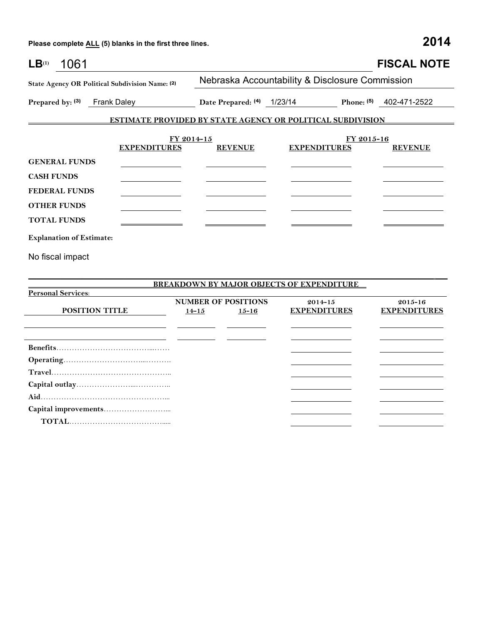**Operating**…………………………...………. **Travel**……………………………………….. **Capital outlay**…………………...………….. **Aid**…………………………………………... **Capital improvements**……………………...  **TOTAL**……………………………….....

| 1061<br>LB <sup>(1)</sup>                                         |                            |                                                  | <b>FISCAL NOTE</b>  |  |  |  |  |
|-------------------------------------------------------------------|----------------------------|--------------------------------------------------|---------------------|--|--|--|--|
| State Agency OR Political Subdivision Name: (2)                   |                            | Nebraska Accountability & Disclosure Commission  |                     |  |  |  |  |
| Prepared by: (3)<br><b>Frank Daley</b>                            | Date Prepared: (4) 1/23/14 | <b>Phone:</b> (5)                                | 402-471-2522        |  |  |  |  |
| <b>ESTIMATE PROVIDED BY STATE AGENCY OR POLITICAL SUBDIVISION</b> |                            |                                                  |                     |  |  |  |  |
| FY 2014-15                                                        |                            | FY 2015-16                                       |                     |  |  |  |  |
| <b>EXPENDITURES</b>                                               | <b>REVENUE</b>             | <b>EXPENDITURES</b>                              | <b>REVENUE</b>      |  |  |  |  |
| <b>GENERAL FUNDS</b>                                              |                            |                                                  |                     |  |  |  |  |
| <b>CASH FUNDS</b>                                                 |                            |                                                  |                     |  |  |  |  |
| <b>FEDERAL FUNDS</b>                                              |                            |                                                  |                     |  |  |  |  |
| <b>OTHER FUNDS</b>                                                |                            |                                                  |                     |  |  |  |  |
| <b>TOTAL FUNDS</b>                                                |                            |                                                  |                     |  |  |  |  |
| <b>Explanation of Estimate:</b>                                   |                            |                                                  |                     |  |  |  |  |
| No fiscal impact                                                  |                            |                                                  |                     |  |  |  |  |
|                                                                   |                            |                                                  |                     |  |  |  |  |
|                                                                   |                            | <b>BREAKDOWN BY MAJOR OBJECTS OF EXPENDITURE</b> |                     |  |  |  |  |
| <b>Personal Services:</b>                                         |                            |                                                  |                     |  |  |  |  |
|                                                                   | <b>NUMBER OF POSITIONS</b> | $2014 - 15$                                      | 2015-16             |  |  |  |  |
| POSITION TITLE                                                    | $14 - 15$<br>$15 - 16$     | <b>EXPENDITURES</b>                              | <b>EXPENDITURES</b> |  |  |  |  |
|                                                                   |                            |                                                  |                     |  |  |  |  |
|                                                                   |                            |                                                  |                     |  |  |  |  |

| Ш<br>, |  |
|--------|--|
|        |  |

 $\mathcal{L}_{\mathcal{L}}$ 

 $\mathcal{L}_{\text{max}}$  , where  $\mathcal{L}_{\text{max}}$ 

 $\overline{\phantom{a}}$  $\mathcal{L}_{\mathcal{L}}$ 

 $\overline{\phantom{a}}$ 

the contract of the contract of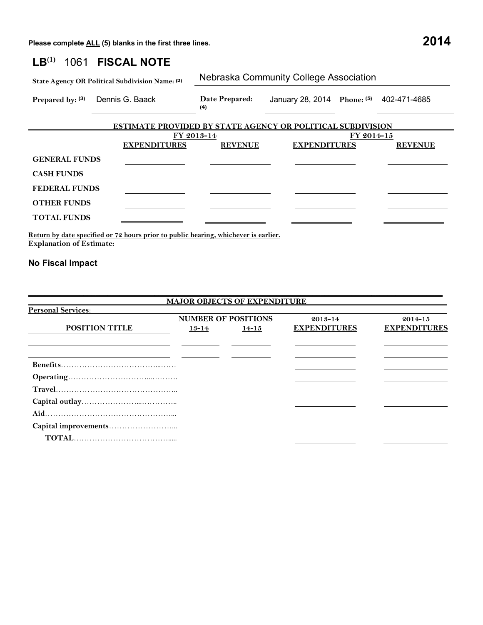## **LB(1)** 1061 **FISCAL NOTE**

| State Agency OR Political Subdivision Name: (2) |                                                            | Nebraska Community College Association |                                          |  |  |  |
|-------------------------------------------------|------------------------------------------------------------|----------------------------------------|------------------------------------------|--|--|--|
| Prepared by: (3)                                | Dennis G. Baack                                            | Date Prepared:<br>(4)                  | January 28, 2014 Phone: (5) 402-471-4685 |  |  |  |
|                                                 | ESTIMATE PROVIDED RY STATE AGENCY OR POLITICAL SURDIVISION |                                        |                                          |  |  |  |

|                      | ESTIMATE PROVIDED BY STATE AGENCY OR POLITICAL SUBDIVISION |                |                     |                |  |  |
|----------------------|------------------------------------------------------------|----------------|---------------------|----------------|--|--|
|                      | FY 2013-14                                                 |                | FY 2014-15          |                |  |  |
|                      | <b>EXPENDITURES</b>                                        | <b>REVENUE</b> | <b>EXPENDITURES</b> | <b>REVENUE</b> |  |  |
| <b>GENERAL FUNDS</b> |                                                            |                |                     |                |  |  |
| <b>CASH FUNDS</b>    |                                                            |                |                     |                |  |  |
| <b>FEDERAL FUNDS</b> |                                                            |                |                     |                |  |  |
| <b>OTHER FUNDS</b>   |                                                            |                |                     |                |  |  |
| <b>TOTAL FUNDS</b>   |                                                            |                |                     |                |  |  |

**Return by date specified or 72 hours prior to public hearing, whichever is earlier. Explanation of Estimate:**

## **No Fiscal Impact**

|                           |           | <b>MAJOR OBJECTS OF EXPENDITURE</b> |                     |                     |
|---------------------------|-----------|-------------------------------------|---------------------|---------------------|
| <b>Personal Services:</b> |           |                                     |                     |                     |
|                           |           | <b>NUMBER OF POSITIONS</b>          | 2013-14             | $2014 - 15$         |
| <b>POSITION TITLE</b>     | $13 - 14$ | $14 - 15$                           | <b>EXPENDITURES</b> | <b>EXPENDITURES</b> |
|                           |           |                                     |                     |                     |
|                           |           |                                     |                     |                     |
|                           |           |                                     |                     |                     |
|                           |           |                                     |                     |                     |
|                           |           |                                     |                     |                     |
|                           |           |                                     |                     |                     |
|                           |           |                                     |                     |                     |
|                           |           |                                     |                     |                     |
|                           |           |                                     |                     |                     |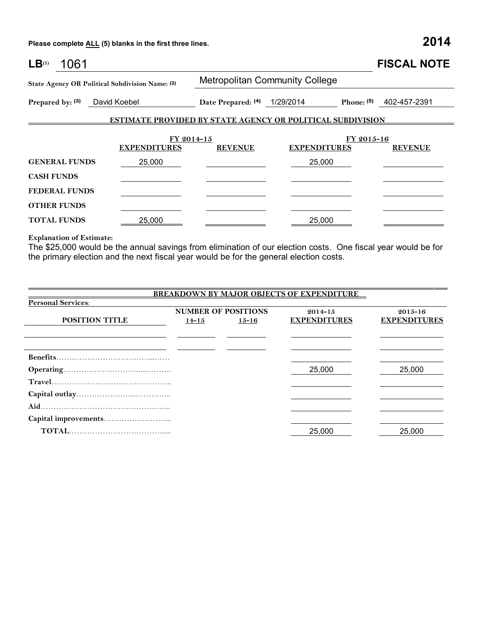| LB <sup>(1)</sup><br>1061                       |                     |                |                                                                   |            | <b>FISCAL NOTE</b> |
|-------------------------------------------------|---------------------|----------------|-------------------------------------------------------------------|------------|--------------------|
| State Agency OR Political Subdivision Name: (2) |                     |                | <b>Metropolitan Community College</b>                             |            |                    |
| Prepared by: (3)<br>David Koebel                |                     |                | Date Prepared: (4) 1/29/2014<br>Phone: $(5)$                      |            | 402-457-2391       |
|                                                 |                     |                | <b>ESTIMATE PROVIDED BY STATE AGENCY OR POLITICAL SUBDIVISION</b> |            |                    |
|                                                 |                     | FY 2014-15     |                                                                   | FY 2015-16 |                    |
|                                                 | <b>EXPENDITURES</b> | <b>REVENUE</b> | <b>EXPENDITURES</b>                                               |            | <b>REVENUE</b>     |
| <b>GENERAL FUNDS</b>                            | 25,000              |                | 25,000                                                            |            |                    |
| <b>CASH FUNDS</b>                               |                     |                |                                                                   |            |                    |
| <b>FEDERAL FUNDS</b>                            |                     |                |                                                                   |            |                    |
| <b>OTHER FUNDS</b>                              |                     |                |                                                                   |            |                    |
| <b>TOTAL FUNDS</b>                              | 25,000              |                | 25,000                                                            |            |                    |

**Explanation of Estimate:**

The \$25,000 would be the annual savings from elimination of our election costs. One fiscal year would be for the primary election and the next fiscal year would be for the general election costs.

| <b>BREAKDOWN BY MAJOR OBJECTS OF EXPENDITURE</b> |           |                            |                     |                     |  |  |  |
|--------------------------------------------------|-----------|----------------------------|---------------------|---------------------|--|--|--|
| <b>Personal Services:</b>                        |           |                            |                     |                     |  |  |  |
|                                                  |           | <b>NUMBER OF POSITIONS</b> | $2014 - 15$         | $2015 - 16$         |  |  |  |
| <b>POSITION TITLE</b>                            | $14 - 15$ | $15 - 16$                  | <b>EXPENDITURES</b> | <b>EXPENDITURES</b> |  |  |  |
|                                                  |           |                            |                     |                     |  |  |  |
|                                                  |           |                            |                     |                     |  |  |  |
|                                                  |           |                            |                     |                     |  |  |  |
|                                                  |           |                            |                     |                     |  |  |  |
|                                                  |           |                            | 25,000              | 25,000              |  |  |  |
|                                                  |           |                            |                     |                     |  |  |  |
|                                                  |           |                            |                     |                     |  |  |  |
|                                                  |           |                            |                     |                     |  |  |  |
|                                                  |           |                            |                     |                     |  |  |  |
|                                                  |           |                            | 25,000              | 25,000              |  |  |  |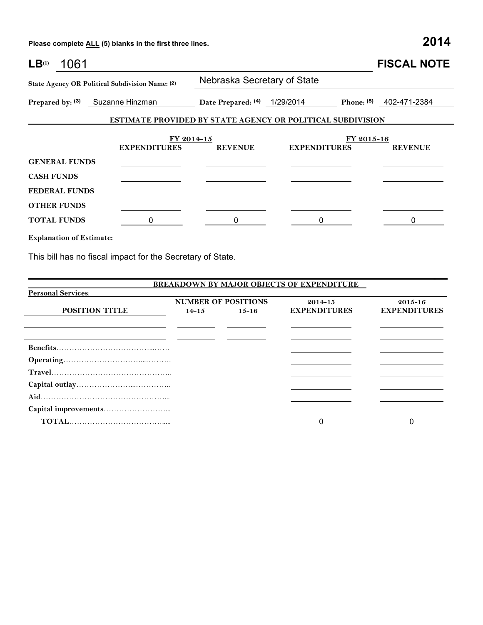|                                                                                |                    |            |            | <b>FISCAL NOTE</b>                                                                                       |  |  |
|--------------------------------------------------------------------------------|--------------------|------------|------------|----------------------------------------------------------------------------------------------------------|--|--|
| Nebraska Secretary of State<br>State Agency OR Political Subdivision Name: (2) |                    |            |            |                                                                                                          |  |  |
|                                                                                | Date Prepared: (4) |            |            | 402-471-2384                                                                                             |  |  |
|                                                                                |                    |            |            |                                                                                                          |  |  |
| <b>EXPENDITURES</b>                                                            | <b>REVENUE</b>     |            | FY 2015-16 | <b>REVENUE</b>                                                                                           |  |  |
|                                                                                |                    |            |            |                                                                                                          |  |  |
|                                                                                |                    |            |            |                                                                                                          |  |  |
|                                                                                |                    |            |            |                                                                                                          |  |  |
|                                                                                |                    |            |            |                                                                                                          |  |  |
|                                                                                |                    |            |            |                                                                                                          |  |  |
|                                                                                | Suzanne Hinzman    | FY 2014-15 | 1/29/2014  | Phone: $(5)$<br><b>ESTIMATE PROVIDED BY STATE AGENCY OR POLITICAL SUBDIVISION</b><br><b>EXPENDITURES</b> |  |  |

**Explanation of Estimate:**

This bill has no fiscal impact for the Secretary of State.

|                           |           |                            | <b>BREAKDOWN BY MAJOR OBJECTS OF EXPENDITURE</b> |                     |
|---------------------------|-----------|----------------------------|--------------------------------------------------|---------------------|
| <b>Personal Services:</b> |           |                            |                                                  |                     |
|                           |           | <b>NUMBER OF POSITIONS</b> | $2014 - 15$                                      | $2015 - 16$         |
| POSITION TITLE            | $14 - 15$ | $15 - 16$                  | <b>EXPENDITURES</b>                              | <b>EXPENDITURES</b> |
|                           |           |                            |                                                  |                     |
|                           |           |                            |                                                  |                     |
|                           |           |                            |                                                  |                     |
|                           |           |                            |                                                  |                     |
|                           |           |                            |                                                  |                     |
|                           |           |                            |                                                  |                     |
|                           |           |                            |                                                  |                     |
|                           |           |                            |                                                  |                     |
|                           |           |                            |                                                  |                     |
|                           |           |                            |                                                  |                     |
|                           |           |                            |                                                  |                     |

\_\_\_\_\_\_\_\_\_\_\_\_\_\_\_\_\_\_\_\_\_\_\_\_\_\_\_\_\_\_\_\_\_\_\_\_\_\_\_\_\_\_\_\_\_\_\_\_\_\_\_\_\_\_\_\_\_\_\_\_\_\_\_\_\_\_\_\_\_\_\_\_\_\_\_\_\_\_\_\_\_\_\_\_\_\_\_\_\_\_\_\_\_\_\_\_\_\_\_\_\_\_ \_\_\_